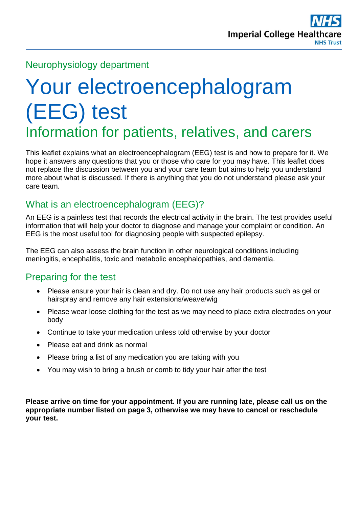

#### Neurophysiology department

# Your electroencephalogram (EEG) test Information for patients, relatives, and carers

This leaflet explains what an electroencephalogram (EEG) test is and how to prepare for it. We hope it answers any questions that you or those who care for you may have. This leaflet does not replace the discussion between you and your care team but aims to help you understand more about what is discussed. If there is anything that you do not understand please ask your care team.

# What is an electroencephalogram (EEG)?

An EEG is a painless test that records the electrical activity in the brain. The test provides useful information that will help your doctor to diagnose and manage your complaint or condition. An EEG is the most useful tool for diagnosing people with suspected epilepsy.

The EEG can also assess the brain function in other neurological conditions including meningitis, encephalitis, toxic and metabolic encephalopathies, and dementia.

#### Preparing for the test

- Please ensure your hair is clean and dry. Do not use any hair products such as gel or hairspray and remove any hair extensions/weave/wig
- Please wear loose clothing for the test as we may need to place extra electrodes on your body
- Continue to take your medication unless told otherwise by your doctor
- Please eat and drink as normal
- Please bring a list of any medication you are taking with you
- You may wish to bring a brush or comb to tidy your hair after the test

**Please arrive on time for your appointment. If you are running late, please call us on the appropriate number listed on page 3, otherwise we may have to cancel or reschedule your test.**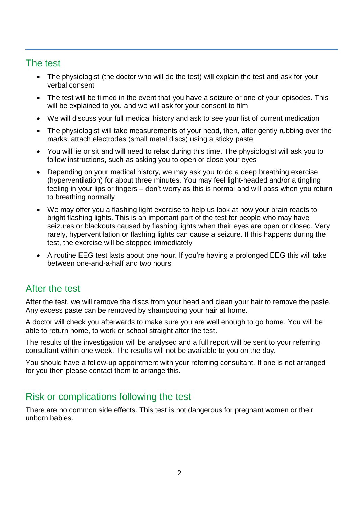### The test

- The physiologist (the doctor who will do the test) will explain the test and ask for your verbal consent
- The test will be filmed in the event that you have a seizure or one of your episodes. This will be explained to you and we will ask for your consent to film
- We will discuss your full medical history and ask to see your list of current medication
- The physiologist will take measurements of your head, then, after gently rubbing over the marks, attach electrodes (small metal discs) using a sticky paste
- You will lie or sit and will need to relax during this time. The physiologist will ask you to follow instructions, such as asking you to open or close your eyes
- Depending on your medical history, we may ask you to do a deep breathing exercise (hyperventilation) for about three minutes. You may feel light-headed and/or a tingling feeling in your lips or fingers – don't worry as this is normal and will pass when you return to breathing normally
- We may offer you a flashing light exercise to help us look at how your brain reacts to bright flashing lights. This is an important part of the test for people who may have seizures or blackouts caused by flashing lights when their eyes are open or closed. Very rarely, hyperventilation or flashing lights can cause a seizure. If this happens during the test, the exercise will be stopped immediately
- A routine EEG test lasts about one hour. If you're having a prolonged EEG this will take between one-and-a-half and two hours

#### After the test

After the test, we will remove the discs from your head and clean your hair to remove the paste. Any excess paste can be removed by shampooing your hair at home.

A doctor will check you afterwards to make sure you are well enough to go home. You will be able to return home, to work or school straight after the test.

The results of the investigation will be analysed and a full report will be sent to your referring consultant within one week. The results will not be available to you on the day.

You should have a follow-up appointment with your referring consultant. If one is not arranged for you then please contact them to arrange this.

#### Risk or complications following the test

There are no common side effects. This test is not dangerous for pregnant women or their unborn babies.